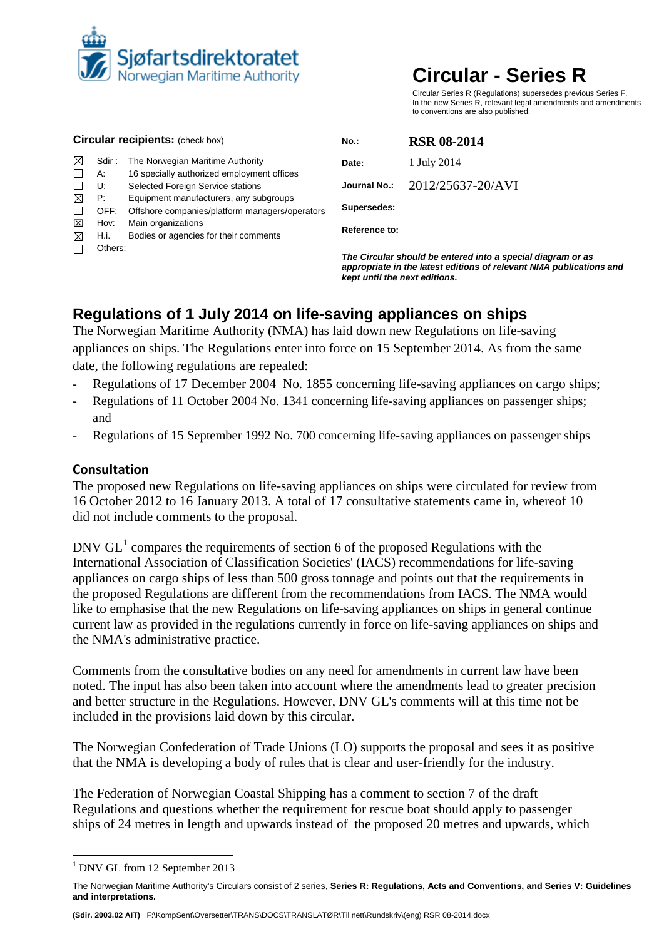

# **Circular - Series R**

Circular Series R (Regulations) supersedes previous Series F. In the new Series R, relevant legal amendments and amendments to conventions are also published.

| <b>Circular recipients: (check box)</b> |              |                                                                                                                                                                                                                                            | $No.$ :                                                                                                                                                             | <b>RSR 08-2014</b> |  |
|-----------------------------------------|--------------|--------------------------------------------------------------------------------------------------------------------------------------------------------------------------------------------------------------------------------------------|---------------------------------------------------------------------------------------------------------------------------------------------------------------------|--------------------|--|
| ⊠                                       | Sdir :       | The Norwegian Maritime Authority                                                                                                                                                                                                           | Date:                                                                                                                                                               | 1 July 2014        |  |
|                                         | А:<br>U:     | 16 specially authorized employment offices<br>Selected Foreign Service stations<br>Equipment manufacturers, any subgroups<br>Offshore companies/platform managers/operators<br>Main organizations<br>Bodies or agencies for their comments | Journal No.:                                                                                                                                                        | 2012/25637-20/AVI  |  |
| ⊠                                       | P:<br>OFF:   |                                                                                                                                                                                                                                            | Supersedes:                                                                                                                                                         |                    |  |
| ⊠<br>⊠                                  | Hov:<br>H.i. |                                                                                                                                                                                                                                            | Reference to:                                                                                                                                                       |                    |  |
|                                         | Others:      |                                                                                                                                                                                                                                            | The Circular should be entered into a special diagram or as<br>appropriate in the latest editions of relevant NMA publications and<br>kept until the next editions. |                    |  |

# **Regulations of 1 July 2014 on life-saving appliances on ships**

The Norwegian Maritime Authority (NMA) has laid down new Regulations on life-saving appliances on ships. The Regulations enter into force on 15 September 2014. As from the same date, the following regulations are repealed:

- Regulations of 17 December 2004 No. 1855 concerning life-saving appliances on cargo ships;
- Regulations of 11 October 2004 No. 1341 concerning life-saving appliances on passenger ships; and
- Regulations of 15 September 1992 No. 700 concerning life-saving appliances on passenger ships

### **Consultation**

The proposed new Regulations on life-saving appliances on ships were circulated for review from 16 October 2012 to 16 January 2013. A total of 17 consultative statements came in, whereof 10 did not include comments to the proposal.

DNV  $GL<sup>1</sup>$  $GL<sup>1</sup>$  $GL<sup>1</sup>$  compares the requirements of section 6 of the proposed Regulations with the International Association of Classification Societies' (IACS) recommendations for life-saving appliances on cargo ships of less than 500 gross tonnage and points out that the requirements in the proposed Regulations are different from the recommendations from IACS. The NMA would like to emphasise that the new Regulations on life-saving appliances on ships in general continue current law as provided in the regulations currently in force on life-saving appliances on ships and the NMA's administrative practice.

Comments from the consultative bodies on any need for amendments in current law have been noted. The input has also been taken into account where the amendments lead to greater precision and better structure in the Regulations. However, DNV GL's comments will at this time not be included in the provisions laid down by this circular.

The Norwegian Confederation of Trade Unions (LO) supports the proposal and sees it as positive that the NMA is developing a body of rules that is clear and user-friendly for the industry.

The Federation of Norwegian Coastal Shipping has a comment to section 7 of the draft Regulations and questions whether the requirement for rescue boat should apply to passenger ships of 24 metres in length and upwards instead of the proposed 20 metres and upwards, which

**(Sdir. 2003.02 AIT)** F:\KompSent\Oversetter\TRANS\DOCS\TRANSLATØR\Til nett\Rundskriv\(eng) RSR 08-2014.docx

<span id="page-0-0"></span><sup>&</sup>lt;sup>1</sup> DNV GL from 12 September 2013

<span id="page-0-1"></span>The Norwegian Maritime Authority's Circulars consist of 2 series, **Series R: Regulations, Acts and Conventions, and Series V: Guidelines and interpretations.**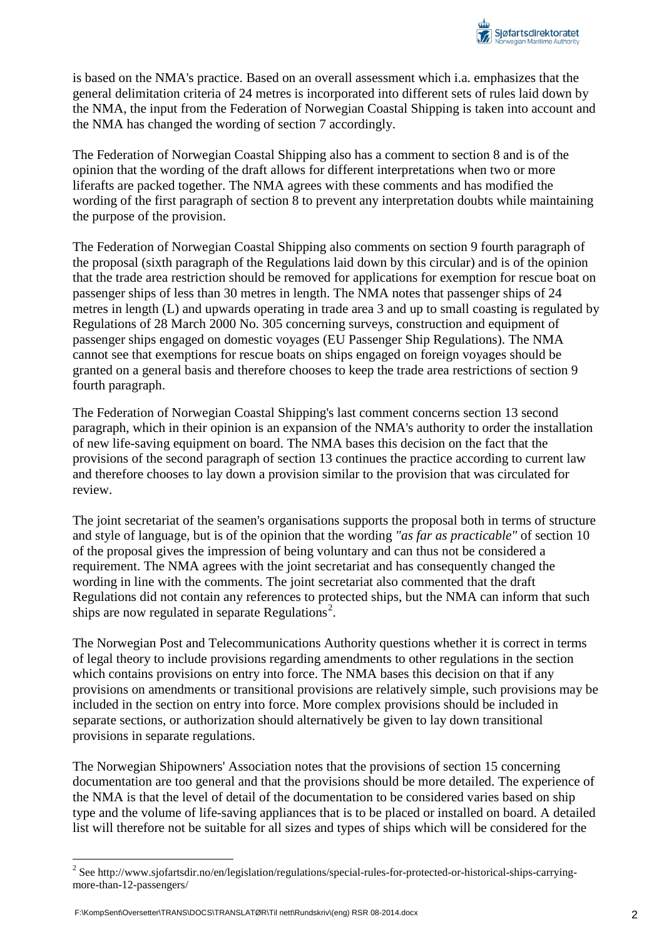is based on the NMA's practice. Based on an overall assessment which i.a. emphasizes that the general delimitation criteria of 24 metres is incorporated into different sets of rules laid down by the NMA, the input from the Federation of Norwegian Coastal Shipping is taken into account and the NMA has changed the wording of section 7 accordingly.

The Federation of Norwegian Coastal Shipping also has a comment to section 8 and is of the opinion that the wording of the draft allows for different interpretations when two or more liferafts are packed together. The NMA agrees with these comments and has modified the wording of the first paragraph of section 8 to prevent any interpretation doubts while maintaining the purpose of the provision.

The Federation of Norwegian Coastal Shipping also comments on section 9 fourth paragraph of the proposal (sixth paragraph of the Regulations laid down by this circular) and is of the opinion that the trade area restriction should be removed for applications for exemption for rescue boat on passenger ships of less than 30 metres in length. The NMA notes that passenger ships of 24 metres in length (L) and upwards operating in trade area 3 and up to small coasting is regulated by Regulations of 28 March 2000 No. 305 concerning surveys, construction and equipment of passenger ships engaged on domestic voyages (EU Passenger Ship Regulations). The NMA cannot see that exemptions for rescue boats on ships engaged on foreign voyages should be granted on a general basis and therefore chooses to keep the trade area restrictions of section 9 fourth paragraph.

The Federation of Norwegian Coastal Shipping's last comment concerns section 13 second paragraph, which in their opinion is an expansion of the NMA's authority to order the installation of new life-saving equipment on board. The NMA bases this decision on the fact that the provisions of the second paragraph of section 13 continues the practice according to current law and therefore chooses to lay down a provision similar to the provision that was circulated for review.

The joint secretariat of the seamen's organisations supports the proposal both in terms of structure and style of language, but is of the opinion that the wording *"as far as practicable"* of section 10 of the proposal gives the impression of being voluntary and can thus not be considered a requirement. The NMA agrees with the joint secretariat and has consequently changed the wording in line with the comments. The joint secretariat also commented that the draft Regulations did not contain any references to protected ships, but the NMA can inform that such ships are now regulated in separate Regulations<sup>[2](#page-0-1)</sup>.

The Norwegian Post and Telecommunications Authority questions whether it is correct in terms of legal theory to include provisions regarding amendments to other regulations in the section which contains provisions on entry into force. The NMA bases this decision on that if any provisions on amendments or transitional provisions are relatively simple, such provisions may be included in the section on entry into force. More complex provisions should be included in separate sections, or authorization should alternatively be given to lay down transitional provisions in separate regulations.

The Norwegian Shipowners' Association notes that the provisions of section 15 concerning documentation are too general and that the provisions should be more detailed. The experience of the NMA is that the level of detail of the documentation to be considered varies based on ship type and the volume of life-saving appliances that is to be placed or installed on board. A detailed list will therefore not be suitable for all sizes and types of ships which will be considered for the

<span id="page-1-0"></span><sup>&</sup>lt;sup>2</sup> See http://www.sjofartsdir.no/en/legislation/regulations/special-rules-for-protected-or-historical-ships-carryingmore-than-12-passengers/

F:\KompSent\Oversetter\TRANS\DOCS\TRANSLATØR\Til nett\Rundskriv\(eng) RSR 08-2014.docx 2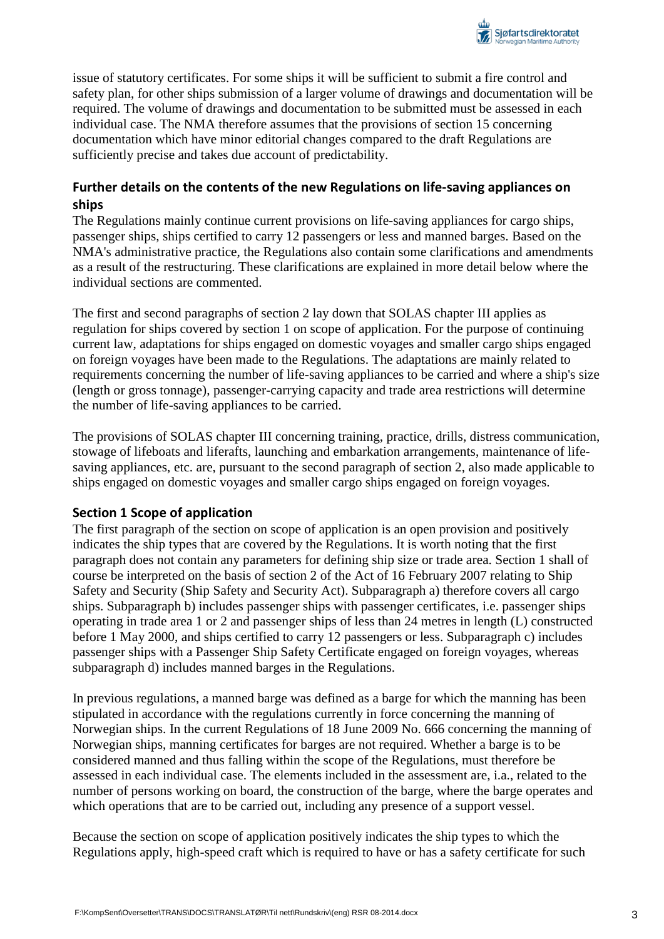

issue of statutory certificates. For some ships it will be sufficient to submit a fire control and safety plan, for other ships submission of a larger volume of drawings and documentation will be required. The volume of drawings and documentation to be submitted must be assessed in each individual case. The NMA therefore assumes that the provisions of section 15 concerning documentation which have minor editorial changes compared to the draft Regulations are sufficiently precise and takes due account of predictability.

### **Further details on the contents of the new Regulations on life-saving appliances on ships**

The Regulations mainly continue current provisions on life-saving appliances for cargo ships, passenger ships, ships certified to carry 12 passengers or less and manned barges. Based on the NMA's administrative practice, the Regulations also contain some clarifications and amendments as a result of the restructuring. These clarifications are explained in more detail below where the individual sections are commented.

The first and second paragraphs of section 2 lay down that SOLAS chapter III applies as regulation for ships covered by section 1 on scope of application. For the purpose of continuing current law, adaptations for ships engaged on domestic voyages and smaller cargo ships engaged on foreign voyages have been made to the Regulations. The adaptations are mainly related to requirements concerning the number of life-saving appliances to be carried and where a ship's size (length or gross tonnage), passenger-carrying capacity and trade area restrictions will determine the number of life-saving appliances to be carried.

The provisions of SOLAS chapter III concerning training, practice, drills, distress communication, stowage of lifeboats and liferafts, launching and embarkation arrangements, maintenance of lifesaving appliances, etc. are, pursuant to the second paragraph of section 2, also made applicable to ships engaged on domestic voyages and smaller cargo ships engaged on foreign voyages.

#### **Section 1 Scope of application**

The first paragraph of the section on scope of application is an open provision and positively indicates the ship types that are covered by the Regulations. It is worth noting that the first paragraph does not contain any parameters for defining ship size or trade area. Section 1 shall of course be interpreted on the basis of section 2 of the Act of 16 February 2007 relating to Ship Safety and Security (Ship Safety and Security Act). Subparagraph a) therefore covers all cargo ships. Subparagraph b) includes passenger ships with passenger certificates, i.e. passenger ships operating in trade area 1 or 2 and passenger ships of less than 24 metres in length (L) constructed before 1 May 2000, and ships certified to carry 12 passengers or less. Subparagraph c) includes passenger ships with a Passenger Ship Safety Certificate engaged on foreign voyages, whereas subparagraph d) includes manned barges in the Regulations.

In previous regulations, a manned barge was defined as a barge for which the manning has been stipulated in accordance with the regulations currently in force concerning the manning of Norwegian ships. In the current Regulations of 18 June 2009 No. 666 concerning the manning of Norwegian ships, manning certificates for barges are not required. Whether a barge is to be considered manned and thus falling within the scope of the Regulations, must therefore be assessed in each individual case. The elements included in the assessment are, i.a., related to the number of persons working on board, the construction of the barge, where the barge operates and which operations that are to be carried out, including any presence of a support vessel.

Because the section on scope of application positively indicates the ship types to which the Regulations apply, high-speed craft which is required to have or has a safety certificate for such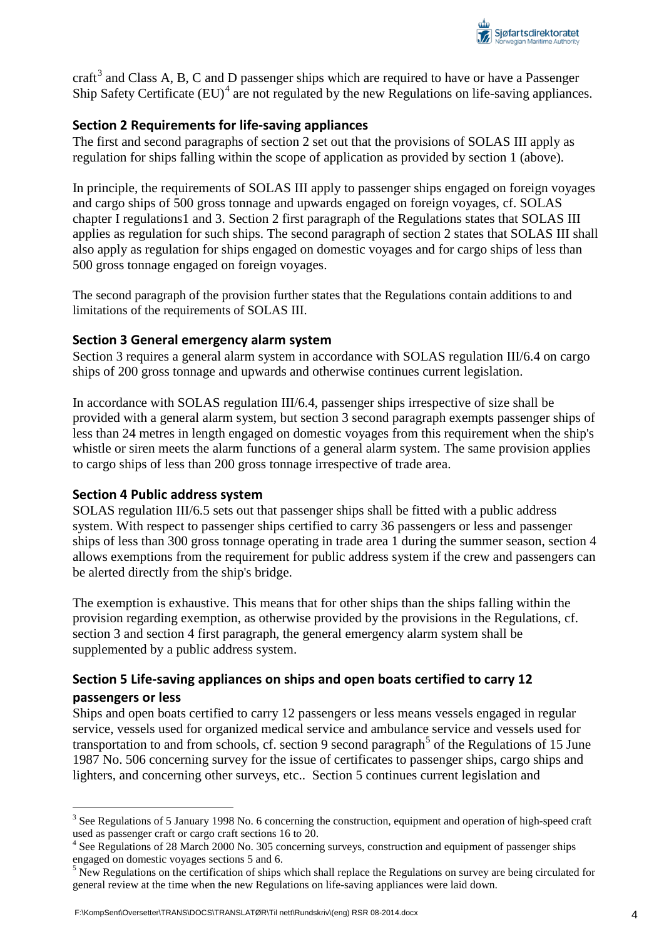

craft<sup>[3](#page-1-0)</sup> and Class A, B, C and D passenger ships which are required to have or have a Passenger Ship Safety Certificate  $(EU)^4$  $(EU)^4$  are not regulated by the new Regulations on life-saving appliances.

### **Section 2 Requirements for life-saving appliances**

The first and second paragraphs of section 2 set out that the provisions of SOLAS III apply as regulation for ships falling within the scope of application as provided by section 1 (above).

In principle, the requirements of SOLAS III apply to passenger ships engaged on foreign voyages and cargo ships of 500 gross tonnage and upwards engaged on foreign voyages, cf. SOLAS chapter I regulations1 and 3. Section 2 first paragraph of the Regulations states that SOLAS III applies as regulation for such ships. The second paragraph of section 2 states that SOLAS III shall also apply as regulation for ships engaged on domestic voyages and for cargo ships of less than 500 gross tonnage engaged on foreign voyages.

The second paragraph of the provision further states that the Regulations contain additions to and limitations of the requirements of SOLAS III.

#### **Section 3 General emergency alarm system**

Section 3 requires a general alarm system in accordance with SOLAS regulation III/6.4 on cargo ships of 200 gross tonnage and upwards and otherwise continues current legislation.

In accordance with SOLAS regulation III/6.4, passenger ships irrespective of size shall be provided with a general alarm system, but section 3 second paragraph exempts passenger ships of less than 24 metres in length engaged on domestic voyages from this requirement when the ship's whistle or siren meets the alarm functions of a general alarm system. The same provision applies to cargo ships of less than 200 gross tonnage irrespective of trade area.

#### **Section 4 Public address system**

SOLAS regulation III/6.5 sets out that passenger ships shall be fitted with a public address system. With respect to passenger ships certified to carry 36 passengers or less and passenger ships of less than 300 gross tonnage operating in trade area 1 during the summer season, section 4 allows exemptions from the requirement for public address system if the crew and passengers can be alerted directly from the ship's bridge.

The exemption is exhaustive. This means that for other ships than the ships falling within the provision regarding exemption, as otherwise provided by the provisions in the Regulations, cf. section 3 and section 4 first paragraph, the general emergency alarm system shall be supplemented by a public address system.

### **Section 5 Life-saving appliances on ships and open boats certified to carry 12 passengers or less**

Ships and open boats certified to carry 12 passengers or less means vessels engaged in regular service, vessels used for organized medical service and ambulance service and vessels used for transportation to and from schools, cf. section 9 second paragraph<sup>[5](#page-3-1)</sup> of the Regulations of 15 June 1987 No. 506 concerning survey for the issue of certificates to passenger ships, cargo ships and lighters, and concerning other surveys, etc.. Section 5 continues current legislation and

<sup>&</sup>lt;sup>3</sup> See Regulations of 5 January 1998 No. 6 concerning the construction, equipment and operation of high-speed craft used as passenger craft or cargo craft sections 16 to 20.

<span id="page-3-0"></span><sup>&</sup>lt;sup>4</sup> See Regulations of 28 March 2000 No. 305 concerning surveys, construction and equipment of passenger ships engaged on domestic voyages sections 5 and 6.

<span id="page-3-2"></span><span id="page-3-1"></span> $<sup>5</sup>$  New Regulations on the certification of ships which shall replace the Regulations on survey are being circulated for</sup> general review at the time when the new Regulations on life-saving appliances were laid down.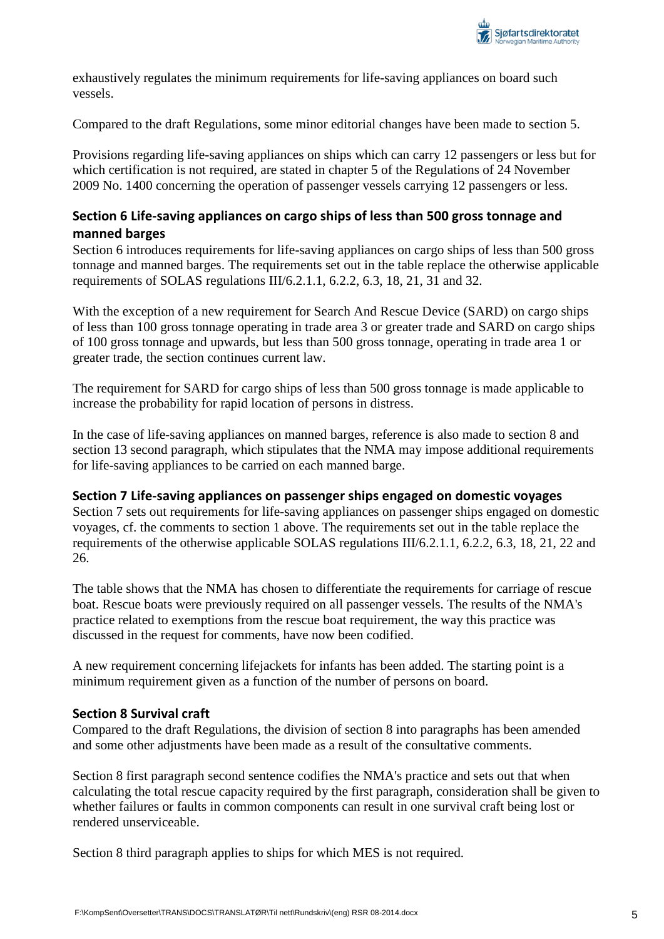

exhaustively regulates the minimum requirements for life-saving appliances on board such vessels.

Compared to the draft Regulations, some minor editorial changes have been made to section 5.

Provisions regarding life-saving appliances on ships which can carry 12 passengers or less but for which certification is not required, are stated in chapter 5 of the Regulations of 24 November 2009 No. 1400 concerning the operation of passenger vessels carrying 12 passengers or less.

### **Section 6 Life-saving appliances on cargo ships of less than 500 gross tonnage and manned barges**

Section 6 introduces requirements for life-saving appliances on cargo ships of less than 500 gross tonnage and manned barges. The requirements set out in the table replace the otherwise applicable requirements of SOLAS regulations III/6.2.1.1, 6.2.2, 6.3, 18, 21, 31 and 32.

With the exception of a new requirement for Search And Rescue Device (SARD) on cargo ships of less than 100 gross tonnage operating in trade area 3 or greater trade and SARD on cargo ships of 100 gross tonnage and upwards, but less than 500 gross tonnage, operating in trade area 1 or greater trade, the section continues current law.

The requirement for SARD for cargo ships of less than 500 gross tonnage is made applicable to increase the probability for rapid location of persons in distress.

In the case of life-saving appliances on manned barges, reference is also made to section 8 and section 13 second paragraph, which stipulates that the NMA may impose additional requirements for life-saving appliances to be carried on each manned barge.

### **Section 7 Life-saving appliances on passenger ships engaged on domestic voyages**

Section 7 sets out requirements for life-saving appliances on passenger ships engaged on domestic voyages, cf. the comments to section 1 above. The requirements set out in the table replace the requirements of the otherwise applicable SOLAS regulations III/6.2.1.1, 6.2.2, 6.3, 18, 21, 22 and 26.

The table shows that the NMA has chosen to differentiate the requirements for carriage of rescue boat. Rescue boats were previously required on all passenger vessels. The results of the NMA's practice related to exemptions from the rescue boat requirement, the way this practice was discussed in the request for comments, have now been codified.

A new requirement concerning lifejackets for infants has been added. The starting point is a minimum requirement given as a function of the number of persons on board.

#### **Section 8 Survival craft**

Compared to the draft Regulations, the division of section 8 into paragraphs has been amended and some other adjustments have been made as a result of the consultative comments.

Section 8 first paragraph second sentence codifies the NMA's practice and sets out that when calculating the total rescue capacity required by the first paragraph, consideration shall be given to whether failures or faults in common components can result in one survival craft being lost or rendered unserviceable.

Section 8 third paragraph applies to ships for which MES is not required.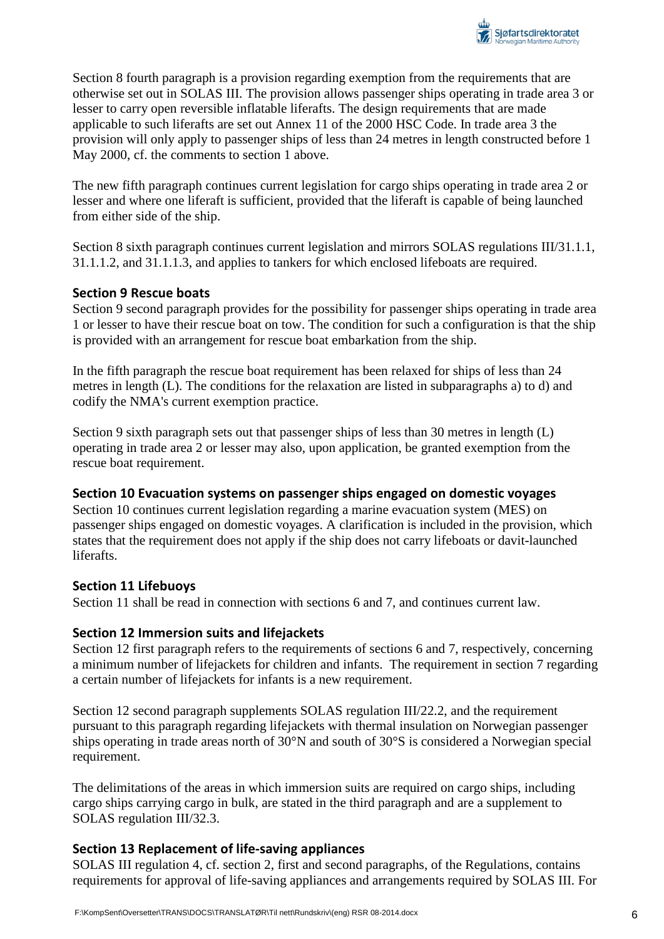

Section 8 fourth paragraph is a provision regarding exemption from the requirements that are otherwise set out in SOLAS III. The provision allows passenger ships operating in trade area 3 or lesser to carry open reversible inflatable liferafts. The design requirements that are made applicable to such liferafts are set out Annex 11 of the 2000 HSC Code. In trade area 3 the provision will only apply to passenger ships of less than 24 metres in length constructed before 1 May 2000, cf. the comments to section 1 above.

The new fifth paragraph continues current legislation for cargo ships operating in trade area 2 or lesser and where one liferaft is sufficient, provided that the liferaft is capable of being launched from either side of the ship.

Section 8 sixth paragraph continues current legislation and mirrors SOLAS regulations III/31.1.1, 31.1.1.2, and 31.1.1.3, and applies to tankers for which enclosed lifeboats are required.

### **Section 9 Rescue boats**

Section 9 second paragraph provides for the possibility for passenger ships operating in trade area 1 or lesser to have their rescue boat on tow. The condition for such a configuration is that the ship is provided with an arrangement for rescue boat embarkation from the ship.

In the fifth paragraph the rescue boat requirement has been relaxed for ships of less than 24 metres in length (L). The conditions for the relaxation are listed in subparagraphs a) to d) and codify the NMA's current exemption practice.

Section 9 sixth paragraph sets out that passenger ships of less than 30 metres in length (L) operating in trade area 2 or lesser may also, upon application, be granted exemption from the rescue boat requirement.

#### **Section 10 Evacuation systems on passenger ships engaged on domestic voyages**

Section 10 continues current legislation regarding a marine evacuation system (MES) on passenger ships engaged on domestic voyages. A clarification is included in the provision, which states that the requirement does not apply if the ship does not carry lifeboats or davit-launched liferafts.

#### **Section 11 Lifebuoys**

Section 11 shall be read in connection with sections 6 and 7, and continues current law.

### **Section 12 Immersion suits and lifejackets**

Section 12 first paragraph refers to the requirements of sections 6 and 7, respectively, concerning a minimum number of lifejackets for children and infants. The requirement in section 7 regarding a certain number of lifejackets for infants is a new requirement.

Section 12 second paragraph supplements SOLAS regulation III/22.2, and the requirement pursuant to this paragraph regarding lifejackets with thermal insulation on Norwegian passenger ships operating in trade areas north of 30°N and south of 30°S is considered a Norwegian special requirement.

The delimitations of the areas in which immersion suits are required on cargo ships, including cargo ships carrying cargo in bulk, are stated in the third paragraph and are a supplement to SOLAS regulation III/32.3.

### **Section 13 Replacement of life-saving appliances**

SOLAS III regulation 4, cf. section 2, first and second paragraphs, of the Regulations, contains requirements for approval of life-saving appliances and arrangements required by SOLAS III. For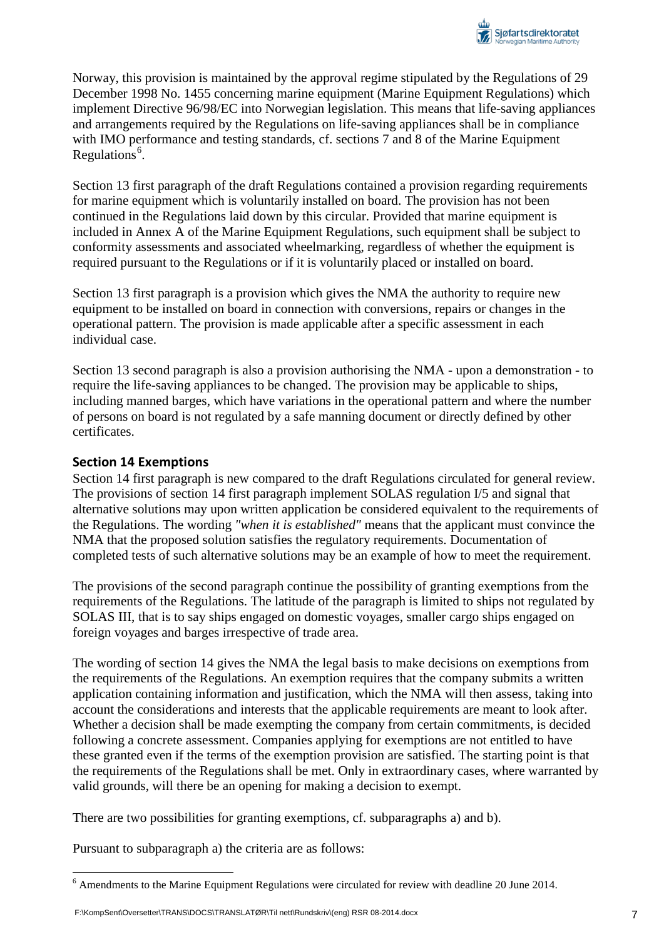Norway, this provision is maintained by the approval regime stipulated by the Regulations of 29 December 1998 No. 1455 concerning marine equipment (Marine Equipment Regulations) which implement Directive 96/98/EC into Norwegian legislation. This means that life-saving appliances and arrangements required by the Regulations on life-saving appliances shall be in compliance with IMO performance and testing standards, cf. sections 7 and 8 of the Marine Equipment Regulations<sup>[6](#page-3-2)</sup>.

Section 13 first paragraph of the draft Regulations contained a provision regarding requirements for marine equipment which is voluntarily installed on board. The provision has not been continued in the Regulations laid down by this circular. Provided that marine equipment is included in Annex A of the Marine Equipment Regulations, such equipment shall be subject to conformity assessments and associated wheelmarking, regardless of whether the equipment is required pursuant to the Regulations or if it is voluntarily placed or installed on board.

Section 13 first paragraph is a provision which gives the NMA the authority to require new equipment to be installed on board in connection with conversions, repairs or changes in the operational pattern. The provision is made applicable after a specific assessment in each individual case.

Section 13 second paragraph is also a provision authorising the NMA - upon a demonstration - to require the life-saving appliances to be changed. The provision may be applicable to ships, including manned barges, which have variations in the operational pattern and where the number of persons on board is not regulated by a safe manning document or directly defined by other certificates.

### **Section 14 Exemptions**

Section 14 first paragraph is new compared to the draft Regulations circulated for general review. The provisions of section 14 first paragraph implement SOLAS regulation I/5 and signal that alternative solutions may upon written application be considered equivalent to the requirements of the Regulations. The wording *"when it is established"* means that the applicant must convince the NMA that the proposed solution satisfies the regulatory requirements. Documentation of completed tests of such alternative solutions may be an example of how to meet the requirement.

The provisions of the second paragraph continue the possibility of granting exemptions from the requirements of the Regulations. The latitude of the paragraph is limited to ships not regulated by SOLAS III, that is to say ships engaged on domestic voyages, smaller cargo ships engaged on foreign voyages and barges irrespective of trade area.

The wording of section 14 gives the NMA the legal basis to make decisions on exemptions from the requirements of the Regulations. An exemption requires that the company submits a written application containing information and justification, which the NMA will then assess, taking into account the considerations and interests that the applicable requirements are meant to look after. Whether a decision shall be made exempting the company from certain commitments, is decided following a concrete assessment. Companies applying for exemptions are not entitled to have these granted even if the terms of the exemption provision are satisfied. The starting point is that the requirements of the Regulations shall be met. Only in extraordinary cases, where warranted by valid grounds, will there be an opening for making a decision to exempt.

There are two possibilities for granting exemptions, cf. subparagraphs a) and b).

Pursuant to subparagraph a) the criteria are as follows:

<sup>&</sup>lt;sup>6</sup> Amendments to the Marine Equipment Regulations were circulated for review with deadline 20 June 2014.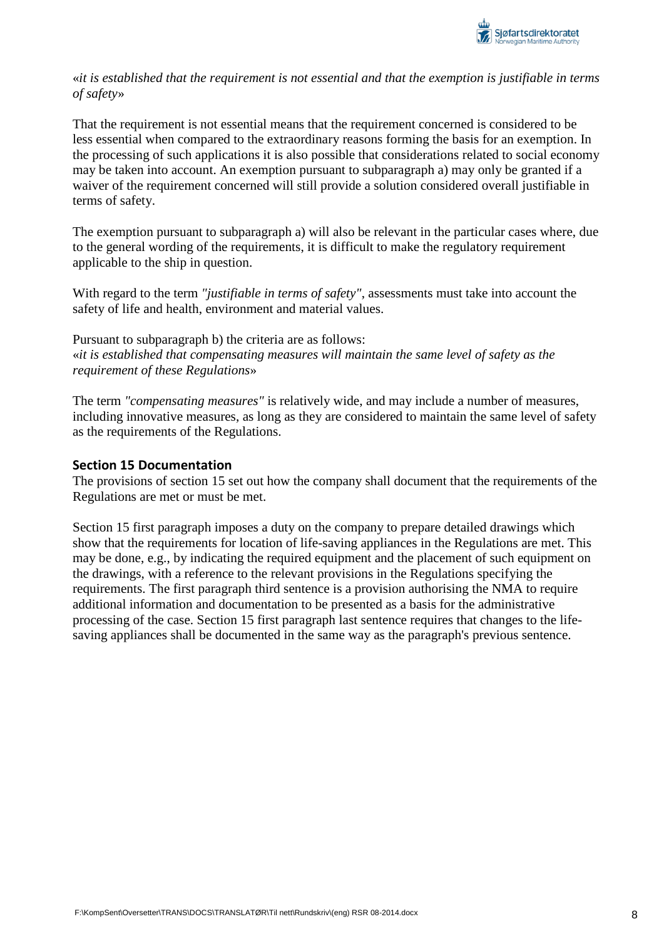

«*it is established that the requirement is not essential and that the exemption is justifiable in terms of safety*»

That the requirement is not essential means that the requirement concerned is considered to be less essential when compared to the extraordinary reasons forming the basis for an exemption. In the processing of such applications it is also possible that considerations related to social economy may be taken into account. An exemption pursuant to subparagraph a) may only be granted if a waiver of the requirement concerned will still provide a solution considered overall justifiable in terms of safety.

The exemption pursuant to subparagraph a) will also be relevant in the particular cases where, due to the general wording of the requirements, it is difficult to make the regulatory requirement applicable to the ship in question.

With regard to the term *"justifiable in terms of safety"*, assessments must take into account the safety of life and health, environment and material values.

Pursuant to subparagraph b) the criteria are as follows: «*it is established that compensating measures will maintain the same level of safety as the requirement of these Regulations*»

The term *"compensating measures"* is relatively wide, and may include a number of measures, including innovative measures, as long as they are considered to maintain the same level of safety as the requirements of the Regulations.

#### **Section 15 Documentation**

The provisions of section 15 set out how the company shall document that the requirements of the Regulations are met or must be met.

Section 15 first paragraph imposes a duty on the company to prepare detailed drawings which show that the requirements for location of life-saving appliances in the Regulations are met. This may be done, e.g., by indicating the required equipment and the placement of such equipment on the drawings, with a reference to the relevant provisions in the Regulations specifying the requirements. The first paragraph third sentence is a provision authorising the NMA to require additional information and documentation to be presented as a basis for the administrative processing of the case. Section 15 first paragraph last sentence requires that changes to the lifesaving appliances shall be documented in the same way as the paragraph's previous sentence.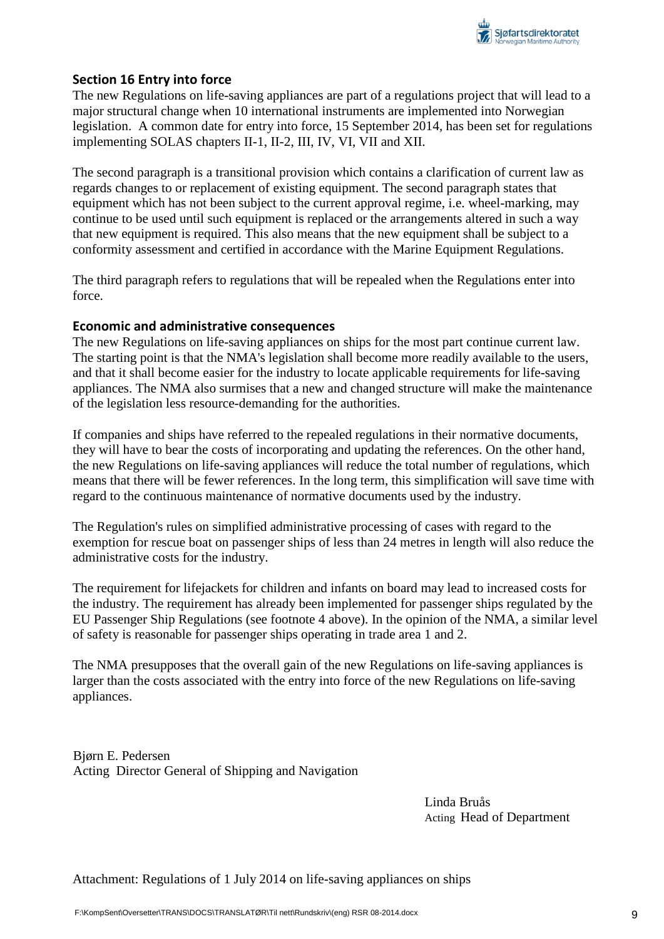

### **Section 16 Entry into force**

The new Regulations on life-saving appliances are part of a regulations project that will lead to a major structural change when 10 international instruments are implemented into Norwegian legislation. A common date for entry into force, 15 September 2014, has been set for regulations implementing SOLAS chapters II-1, II-2, III, IV, VI, VII and XII.

The second paragraph is a transitional provision which contains a clarification of current law as regards changes to or replacement of existing equipment. The second paragraph states that equipment which has not been subject to the current approval regime, i.e. wheel-marking, may continue to be used until such equipment is replaced or the arrangements altered in such a way that new equipment is required. This also means that the new equipment shall be subject to a conformity assessment and certified in accordance with the Marine Equipment Regulations.

The third paragraph refers to regulations that will be repealed when the Regulations enter into force.

#### **Economic and administrative consequences**

The new Regulations on life-saving appliances on ships for the most part continue current law. The starting point is that the NMA's legislation shall become more readily available to the users, and that it shall become easier for the industry to locate applicable requirements for life-saving appliances. The NMA also surmises that a new and changed structure will make the maintenance of the legislation less resource-demanding for the authorities.

If companies and ships have referred to the repealed regulations in their normative documents, they will have to bear the costs of incorporating and updating the references. On the other hand, the new Regulations on life-saving appliances will reduce the total number of regulations, which means that there will be fewer references. In the long term, this simplification will save time with regard to the continuous maintenance of normative documents used by the industry.

The Regulation's rules on simplified administrative processing of cases with regard to the exemption for rescue boat on passenger ships of less than 24 metres in length will also reduce the administrative costs for the industry.

The requirement for lifejackets for children and infants on board may lead to increased costs for the industry. The requirement has already been implemented for passenger ships regulated by the EU Passenger Ship Regulations (see footnote 4 above). In the opinion of the NMA, a similar level of safety is reasonable for passenger ships operating in trade area 1 and 2.

The NMA presupposes that the overall gain of the new Regulations on life-saving appliances is larger than the costs associated with the entry into force of the new Regulations on life-saving appliances.

Bjørn E. Pedersen Acting Director General of Shipping and Navigation

> Linda Bruås Acting Head of Department

Attachment: Regulations of 1 July 2014 on life-saving appliances on ships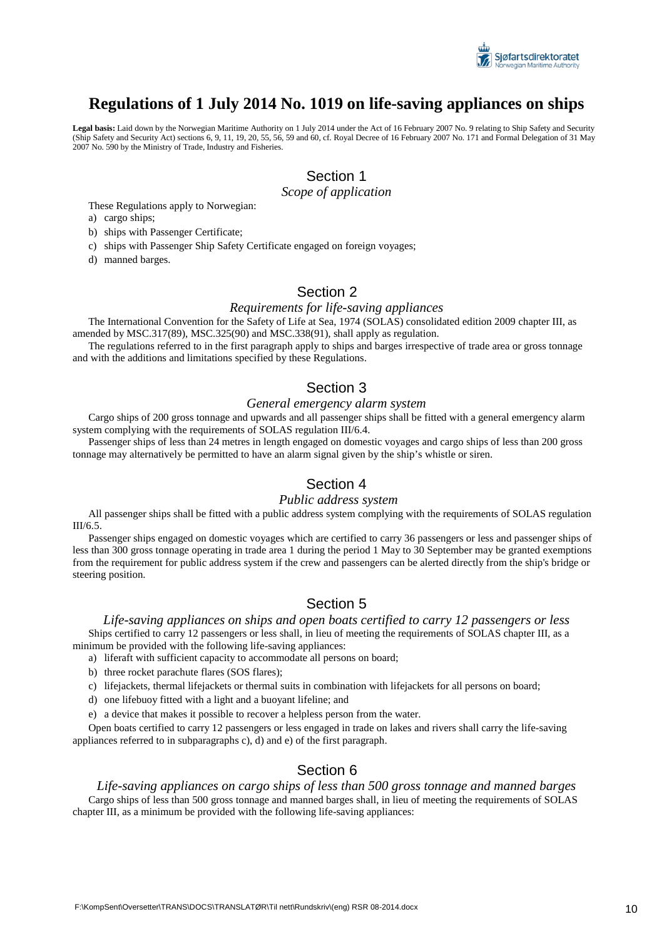

# **Regulations of 1 July 2014 No. 1019 on life-saving appliances on ships**

**Legal basis:** Laid down by the Norwegian Maritime Authority on 1 July 2014 under the Act of 16 February 2007 No. 9 relating to Ship Safety and Security (Ship Safety and Security Act) sections 6, 9, 11, 19, 20, 55, 56, 59 and 60, cf. Royal Decree of 16 February 2007 No. 171 and Formal Delegation of 31 May 2007 No. 590 by the Ministry of Trade, Industry and Fisheries.

# Section 1

#### *Scope of application*

These Regulations apply to Norwegian:

a) cargo ships;

b) ships with Passenger Certificate;

c) ships with Passenger Ship Safety Certificate engaged on foreign voyages;

d) manned barges.

### Section 2

#### *Requirements for life-saving appliances*

The International Convention for the Safety of Life at Sea, 1974 (SOLAS) consolidated edition 2009 chapter III, as amended by MSC.317(89), MSC.325(90) and MSC.338(91), shall apply as regulation.

The regulations referred to in the first paragraph apply to ships and barges irrespective of trade area or gross tonnage and with the additions and limitations specified by these Regulations.

#### Section 3

#### *General emergency alarm system*

Cargo ships of 200 gross tonnage and upwards and all passenger ships shall be fitted with a general emergency alarm system complying with the requirements of SOLAS regulation III/6.4.

Passenger ships of less than 24 metres in length engaged on domestic voyages and cargo ships of less than 200 gross tonnage may alternatively be permitted to have an alarm signal given by the ship's whistle or siren.

### Section 4

#### *Public address system*

All passenger ships shall be fitted with a public address system complying with the requirements of SOLAS regulation III/6.5.

Passenger ships engaged on domestic voyages which are certified to carry 36 passengers or less and passenger ships of less than 300 gross tonnage operating in trade area 1 during the period 1 May to 30 September may be granted exemptions from the requirement for public address system if the crew and passengers can be alerted directly from the ship's bridge or steering position.

### Section 5

#### *Life-saving appliances on ships and open boats certified to carry 12 passengers or less* Ships certified to carry 12 passengers or less shall, in lieu of meeting the requirements of SOLAS chapter III, as a minimum be provided with the following life-saving appliances:

a) liferaft with sufficient capacity to accommodate all persons on board;

- b) three rocket parachute flares (SOS flares);
- c) lifejackets, thermal lifejackets or thermal suits in combination with lifejackets for all persons on board;
- d) one lifebuoy fitted with a light and a buoyant lifeline; and
- e) a device that makes it possible to recover a helpless person from the water.

Open boats certified to carry 12 passengers or less engaged in trade on lakes and rivers shall carry the life-saving appliances referred to in subparagraphs c), d) and e) of the first paragraph.

#### Section 6

*Life-saving appliances on cargo ships of less than 500 gross tonnage and manned barges* Cargo ships of less than 500 gross tonnage and manned barges shall, in lieu of meeting the requirements of SOLAS chapter III, as a minimum be provided with the following life-saving appliances: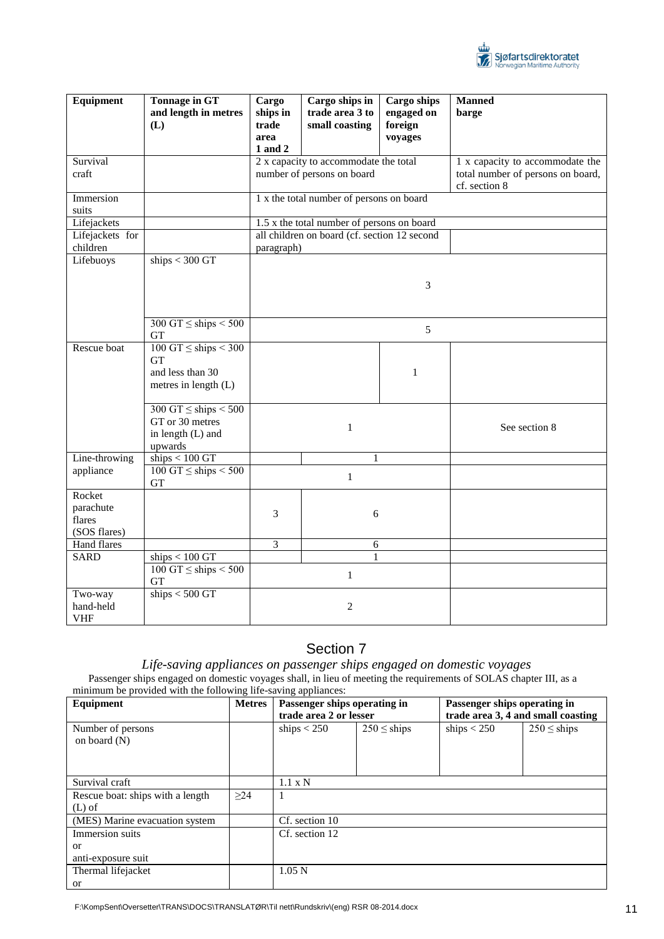

| Equipment                                     | <b>Tonnage in GT</b><br>and length in metres<br>(L)                                           | Cargo<br>ships in<br>trade                                          | Cargo ships in<br>trade area 3 to<br>small coasting | <b>Cargo ships</b><br>engaged on<br>foreign | <b>Manned</b><br>barge                                                                |  |
|-----------------------------------------------|-----------------------------------------------------------------------------------------------|---------------------------------------------------------------------|-----------------------------------------------------|---------------------------------------------|---------------------------------------------------------------------------------------|--|
|                                               |                                                                                               | area<br>1 and 2                                                     |                                                     | voyages                                     |                                                                                       |  |
| Survival<br>craft                             |                                                                                               | 2 x capacity to accommodate the total<br>number of persons on board |                                                     |                                             | 1 x capacity to accommodate the<br>total number of persons on board,<br>cf. section 8 |  |
| Immersion<br>suits                            |                                                                                               | 1 x the total number of persons on board                            |                                                     |                                             |                                                                                       |  |
| Lifejackets                                   |                                                                                               |                                                                     | 1.5 x the total number of persons on board          |                                             |                                                                                       |  |
| Lifejackets for<br>children                   |                                                                                               | all children on board (cf. section 12 second<br>paragraph)          |                                                     |                                             |                                                                                       |  |
| Lifebuoys                                     | ships $<$ 300 GT                                                                              |                                                                     |                                                     |                                             |                                                                                       |  |
|                                               |                                                                                               | 3                                                                   |                                                     |                                             |                                                                                       |  |
|                                               | 300 GT $\leq$ ships $\leq$ 500<br>GT                                                          |                                                                     |                                                     |                                             |                                                                                       |  |
| Rescue boat                                   | $100 \overline{GT} \leq ships < 300$<br><b>GT</b><br>and less than 30<br>metres in length (L) |                                                                     |                                                     | $\mathbf{1}$                                |                                                                                       |  |
|                                               | $300 \text{ GT} \le \text{ships} \le 500$<br>GT or 30 metres<br>in length (L) and<br>upwards  | $\mathbf{1}$                                                        |                                                     |                                             | See section 8                                                                         |  |
| Line-throwing                                 | ships $< 100$ GT                                                                              | 1                                                                   |                                                     |                                             |                                                                                       |  |
| appliance                                     | $100 \text{ GT} \le \text{ships} \le 500$<br><b>GT</b>                                        | $\mathbf{1}$                                                        |                                                     |                                             |                                                                                       |  |
| Rocket<br>parachute<br>flares<br>(SOS flares) |                                                                                               | 3                                                                   | 6                                                   |                                             |                                                                                       |  |
| Hand flares                                   |                                                                                               | $\overline{3}$                                                      | 6                                                   |                                             |                                                                                       |  |
| <b>SARD</b>                                   | ships < 100 GT                                                                                |                                                                     | 1                                                   |                                             |                                                                                       |  |
|                                               | $100 \text{ GT} \le \text{ships} < 500$<br><b>GT</b>                                          |                                                                     | $\mathbf{1}$                                        |                                             |                                                                                       |  |
| Two-way<br>hand-held<br>VHF                   | ships $<$ 500 GT                                                                              |                                                                     | $\sqrt{2}$                                          |                                             |                                                                                       |  |

# Section 7

*Life-saving appliances on passenger ships engaged on domestic voyages* Passenger ships engaged on domestic voyages shall, in lieu of meeting the requirements of SOLAS chapter III, as a minimum be provided with the following life-saving appliances:

| Equipment                                    | <b>Metres</b> | <u>.</u><br>Passenger ships operating in<br>trade area 2 or lesser |                 | Passenger ships operating in<br>trade area 3, 4 and small coasting |                 |
|----------------------------------------------|---------------|--------------------------------------------------------------------|-----------------|--------------------------------------------------------------------|-----------------|
| Number of persons<br>on board $(N)$          |               | ships $<$ 250                                                      | $250 \le$ ships | ships $< 250$                                                      | $250 \le$ ships |
| Survival craft                               |               | $1.1 \times N$                                                     |                 |                                                                    |                 |
| Rescue boat: ships with a length<br>$(L)$ of | $\geq$ 24     |                                                                    |                 |                                                                    |                 |
| (MES) Marine evacuation system               |               | Cf. section 10                                                     |                 |                                                                    |                 |
| Immersion suits                              |               | Cf. section 12                                                     |                 |                                                                    |                 |
| or                                           |               |                                                                    |                 |                                                                    |                 |
| anti-exposure suit                           |               |                                                                    |                 |                                                                    |                 |
| Thermal lifejacket                           |               | 1.05 <sub>N</sub>                                                  |                 |                                                                    |                 |
| <sub>or</sub>                                |               |                                                                    |                 |                                                                    |                 |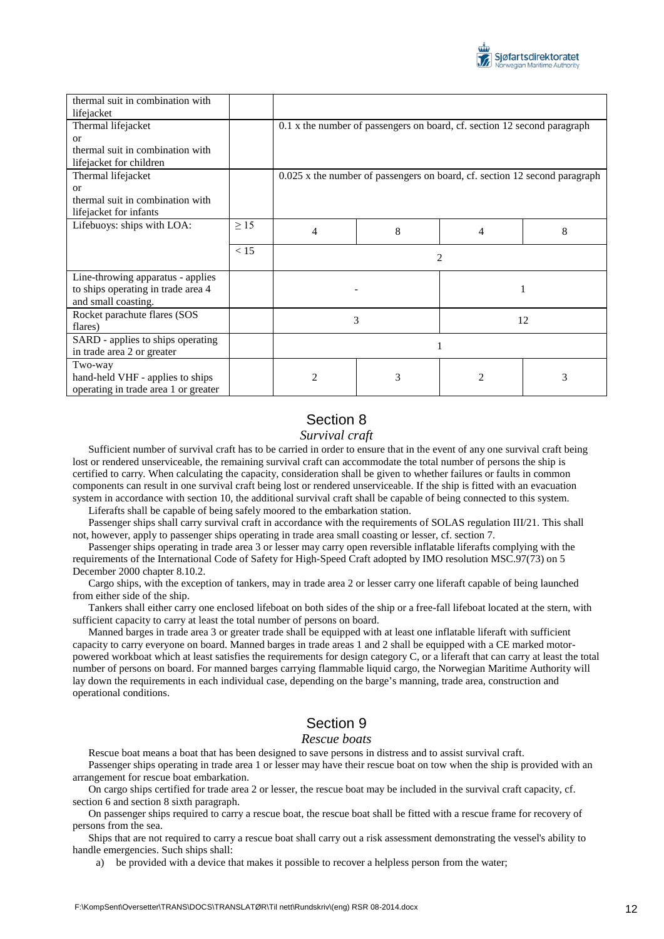

| thermal suit in combination with     |           |                                                                            |   |   |   |  |
|--------------------------------------|-----------|----------------------------------------------------------------------------|---|---|---|--|
| lifejacket                           |           |                                                                            |   |   |   |  |
| Thermal lifejacket                   |           | 0.1 x the number of passengers on board, cf. section 12 second paragraph   |   |   |   |  |
| <sub>or</sub>                        |           |                                                                            |   |   |   |  |
| thermal suit in combination with     |           |                                                                            |   |   |   |  |
| lifejacket for children              |           |                                                                            |   |   |   |  |
| Thermal lifejacket                   |           | 0.025 x the number of passengers on board, cf. section 12 second paragraph |   |   |   |  |
| $\alpha$                             |           |                                                                            |   |   |   |  |
| thermal suit in combination with     |           |                                                                            |   |   |   |  |
| lifejacket for infants               |           |                                                                            |   |   |   |  |
| Lifebuoys: ships with LOA:           | $\geq$ 15 | 4                                                                          | 8 | 4 | 8 |  |
|                                      |           |                                                                            |   |   |   |  |
|                                      | < 15      | 2                                                                          |   |   |   |  |
| Line-throwing apparatus - applies    |           |                                                                            |   |   |   |  |
| to ships operating in trade area 4   |           |                                                                            |   |   |   |  |
| and small coasting.                  |           |                                                                            |   |   |   |  |
| Rocket parachute flares (SOS         |           | 3<br>12                                                                    |   |   |   |  |
| flares)                              |           |                                                                            |   |   |   |  |
| SARD - applies to ships operating    |           |                                                                            |   |   |   |  |
| in trade area 2 or greater           |           |                                                                            |   |   |   |  |
| Two-way                              |           |                                                                            |   |   |   |  |
| hand-held VHF - applies to ships     |           | 2                                                                          | 3 | 2 | 3 |  |
| operating in trade area 1 or greater |           |                                                                            |   |   |   |  |

### Section 8

#### *Survival craft*

Sufficient number of survival craft has to be carried in order to ensure that in the event of any one survival craft being lost or rendered unserviceable, the remaining survival craft can accommodate the total number of persons the ship is certified to carry. When calculating the capacity, consideration shall be given to whether failures or faults in common components can result in one survival craft being lost or rendered unserviceable. If the ship is fitted with an evacuation system in accordance with section 10, the additional survival craft shall be capable of being connected to this system.

Liferafts shall be capable of being safely moored to the embarkation station.

Passenger ships shall carry survival craft in accordance with the requirements of SOLAS regulation III/21. This shall not, however, apply to passenger ships operating in trade area small coasting or lesser, cf. section 7.

Passenger ships operating in trade area 3 or lesser may carry open reversible inflatable liferafts complying with the requirements of the International Code of Safety for High-Speed Craft adopted by IMO resolution MSC.97(73) on 5 December 2000 chapter 8.10.2.

Cargo ships, with the exception of tankers, may in trade area 2 or lesser carry one liferaft capable of being launched from either side of the ship.

Tankers shall either carry one enclosed lifeboat on both sides of the ship or a free-fall lifeboat located at the stern, with sufficient capacity to carry at least the total number of persons on board.

Manned barges in trade area 3 or greater trade shall be equipped with at least one inflatable liferaft with sufficient capacity to carry everyone on board. Manned barges in trade areas 1 and 2 shall be equipped with a CE marked motorpowered workboat which at least satisfies the requirements for design category C, or a liferaft that can carry at least the total number of persons on board. For manned barges carrying flammable liquid cargo, the Norwegian Maritime Authority will lay down the requirements in each individual case, depending on the barge's manning, trade area, construction and operational conditions.

## Section 9

#### *Rescue boats*

Rescue boat means a boat that has been designed to save persons in distress and to assist survival craft.

Passenger ships operating in trade area 1 or lesser may have their rescue boat on tow when the ship is provided with an arrangement for rescue boat embarkation.

On cargo ships certified for trade area 2 or lesser, the rescue boat may be included in the survival craft capacity, cf. section 6 and section 8 sixth paragraph.

On passenger ships required to carry a rescue boat, the rescue boat shall be fitted with a rescue frame for recovery of persons from the sea.

Ships that are not required to carry a rescue boat shall carry out a risk assessment demonstrating the vessel's ability to handle emergencies. Such ships shall:

a) be provided with a device that makes it possible to recover a helpless person from the water;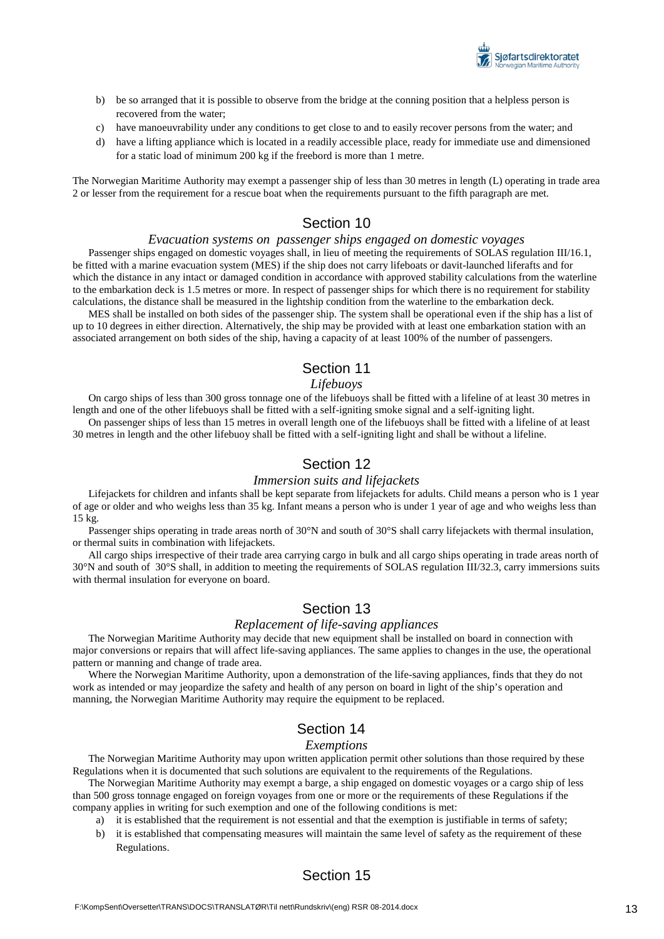

- b) be so arranged that it is possible to observe from the bridge at the conning position that a helpless person is recovered from the water;
- c) have manoeuvrability under any conditions to get close to and to easily recover persons from the water; and
- d) have a lifting appliance which is located in a readily accessible place, ready for immediate use and dimensioned for a static load of minimum 200 kg if the freebord is more than 1 metre.

The Norwegian Maritime Authority may exempt a passenger ship of less than 30 metres in length (L) operating in trade area 2 or lesser from the requirement for a rescue boat when the requirements pursuant to the fifth paragraph are met.

### Section 10

#### *Evacuation systems on passenger ships engaged on domestic voyages*

Passenger ships engaged on domestic voyages shall, in lieu of meeting the requirements of SOLAS regulation III/16.1, be fitted with a marine evacuation system (MES) if the ship does not carry lifeboats or davit-launched liferafts and for which the distance in any intact or damaged condition in accordance with approved stability calculations from the waterline to the embarkation deck is 1.5 metres or more. In respect of passenger ships for which there is no requirement for stability calculations, the distance shall be measured in the lightship condition from the waterline to the embarkation deck.

MES shall be installed on both sides of the passenger ship. The system shall be operational even if the ship has a list of up to 10 degrees in either direction. Alternatively, the ship may be provided with at least one embarkation station with an associated arrangement on both sides of the ship, having a capacity of at least 100% of the number of passengers.

#### Section 11

#### *Lifebuoys*

On cargo ships of less than 300 gross tonnage one of the lifebuoys shall be fitted with a lifeline of at least 30 metres in length and one of the other lifebuoys shall be fitted with a self-igniting smoke signal and a self-igniting light.

On passenger ships of less than 15 metres in overall length one of the lifebuoys shall be fitted with a lifeline of at least 30 metres in length and the other lifebuoy shall be fitted with a self-igniting light and shall be without a lifeline.

### Section 12

#### *Immersion suits and lifejackets*

Lifejackets for children and infants shall be kept separate from lifejackets for adults. Child means a person who is 1 year of age or older and who weighs less than 35 kg. Infant means a person who is under 1 year of age and who weighs less than 15 kg.

Passenger ships operating in trade areas north of 30°N and south of 30°S shall carry lifejackets with thermal insulation, or thermal suits in combination with lifejackets.

All cargo ships irrespective of their trade area carrying cargo in bulk and all cargo ships operating in trade areas north of 30°N and south of 30°S shall, in addition to meeting the requirements of SOLAS regulation III/32.3, carry immersions suits with thermal insulation for everyone on board.

#### Section 13

#### *Replacement of life-saving appliances*

The Norwegian Maritime Authority may decide that new equipment shall be installed on board in connection with major conversions or repairs that will affect life-saving appliances. The same applies to changes in the use, the operational pattern or manning and change of trade area.

Where the Norwegian Maritime Authority, upon a demonstration of the life-saving appliances, finds that they do not work as intended or may jeopardize the safety and health of any person on board in light of the ship's operation and manning, the Norwegian Maritime Authority may require the equipment to be replaced.

### Section 14

#### *Exemptions*

The Norwegian Maritime Authority may upon written application permit other solutions than those required by these Regulations when it is documented that such solutions are equivalent to the requirements of the Regulations.

The Norwegian Maritime Authority may exempt a barge, a ship engaged on domestic voyages or a cargo ship of less than 500 gross tonnage engaged on foreign voyages from one or more or the requirements of these Regulations if the company applies in writing for such exemption and one of the following conditions is met:

- a) it is established that the requirement is not essential and that the exemption is justifiable in terms of safety;
- b) it is established that compensating measures will maintain the same level of safety as the requirement of these Regulations.

### Section 15